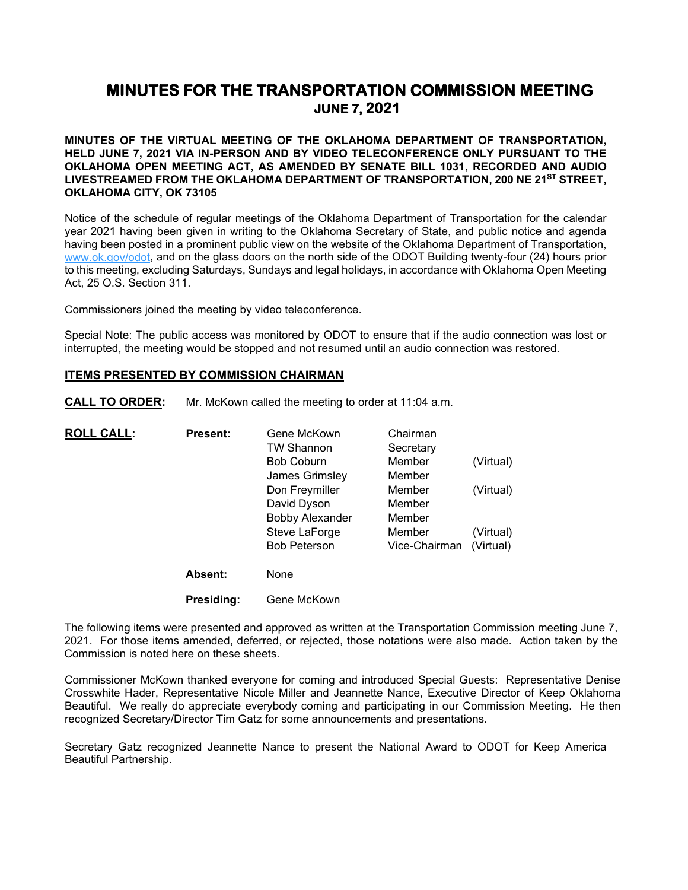# **MINUTES FOR THE TRANSPORTATION COMMISSION MEETING JUNE 7, 2021**

**MINUTES OF THE VIRTUAL MEETING OF THE OKLAHOMA DEPARTMENT OF TRANSPORTATION, HELD JUNE 7, 2021 VIA IN-PERSON AND BY VIDEO TELECONFERENCE ONLY PURSUANT TO THE OKLAHOMA OPEN MEETING ACT, AS AMENDED BY SENATE BILL 1031, RECORDED AND AUDIO LIVESTREAMED FROM THE OKLAHOMA DEPARTMENT OF TRANSPORTATION, 200 NE 21ST STREET, OKLAHOMA CITY, OK 73105**

Notice of the schedule of regular meetings of the Oklahoma Department of Transportation for the calendar year 2021 having been given in writing to the Oklahoma Secretary of State, and public notice and agenda having been posted in a prominent public view on the website of the Oklahoma Department of Transportation, [www.ok.gov/odot,](http://www.ok.gov/odot) and on the glass doors on the north side of the ODOT Building twenty-four (24) hours prior to this meeting, excluding Saturdays, Sundays and legal holidays, in accordance with Oklahoma Open Meeting Act, 25 O.S. Section 311.

Commissioners joined the meeting by video teleconference.

Special Note: The public access was monitored by ODOT to ensure that if the audio connection was lost or interrupted, the meeting would be stopped and not resumed until an audio connection was restored.

#### **ITEMS PRESENTED BY COMMISSION CHAIRMAN**

**CALL TO ORDER:** Mr. McKown called the meeting to order at 11:04 a.m.

| <b>ROLL CALL:</b> | <b>Present:</b> | Gene McKown            | Chairman      |           |
|-------------------|-----------------|------------------------|---------------|-----------|
|                   |                 | <b>TW Shannon</b>      | Secretary     |           |
|                   |                 | <b>Bob Coburn</b>      | Member        | (Virtual) |
|                   |                 | James Grimsley         | Member        |           |
|                   |                 | Don Freymiller         | Member        | (Virtual) |
|                   |                 | David Dyson            | Member        |           |
|                   |                 | <b>Bobby Alexander</b> | Member        |           |
|                   |                 | Steve LaForge          | Member        | (Virtual) |
|                   |                 | <b>Bob Peterson</b>    | Vice-Chairman | (Virtual) |
|                   | <b>Absent:</b>  | None                   |               |           |
|                   | Presidina:      | Gene McKown            |               |           |

The following items were presented and approved as written at the Transportation Commission meeting June 7, 2021. For those items amended, deferred, or rejected, those notations were also made. Action taken by the Commission is noted here on these sheets.

Commissioner McKown thanked everyone for coming and introduced Special Guests: Representative Denise Crosswhite Hader, Representative Nicole Miller and Jeannette Nance, Executive Director of Keep Oklahoma Beautiful. We really do appreciate everybody coming and participating in our Commission Meeting. He then recognized Secretary/Director Tim Gatz for some announcements and presentations.

Secretary Gatz recognized Jeannette Nance to present the National Award to ODOT for Keep America Beautiful Partnership.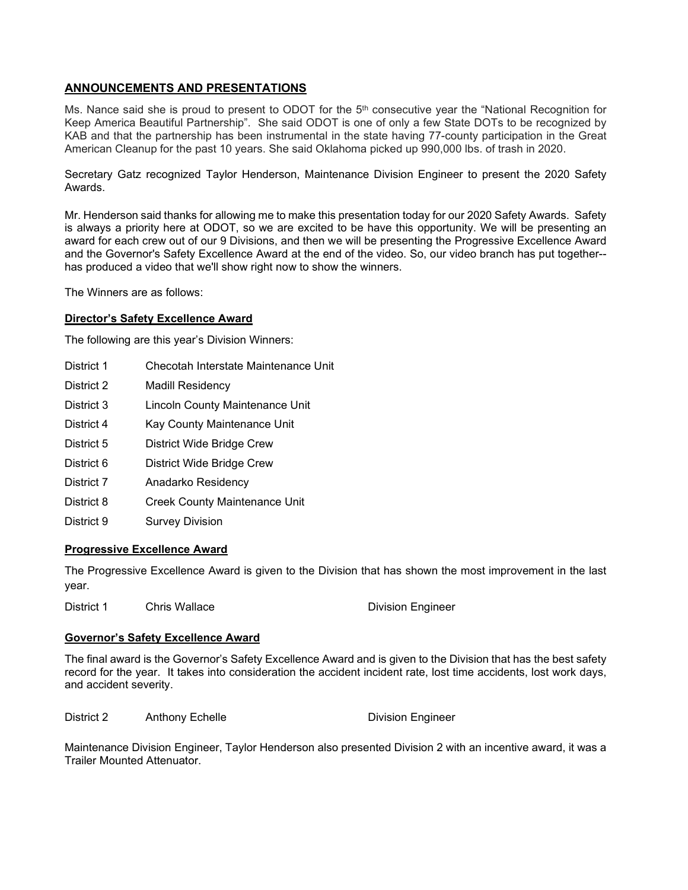# **ANNOUNCEMENTS AND PRESENTATIONS**

Ms. Nance said she is proud to present to ODOT for the  $5<sup>th</sup>$  consecutive year the "National Recognition for Keep America Beautiful Partnership". She said ODOT is one of only a few State DOTs to be recognized by KAB and that the partnership has been instrumental in the state having 77-county participation in the Great American Cleanup for the past 10 years. She said Oklahoma picked up 990,000 lbs. of trash in 2020.

Secretary Gatz recognized Taylor Henderson, Maintenance Division Engineer to present the 2020 Safety Awards.

Mr. Henderson said thanks for allowing me to make this presentation today for our 2020 Safety Awards. Safety is always a priority here at ODOT, so we are excited to be have this opportunity. We will be presenting an award for each crew out of our 9 Divisions, and then we will be presenting the Progressive Excellence Award and the Governor's Safety Excellence Award at the end of the video. So, our video branch has put together- has produced a video that we'll show right now to show the winners.

The Winners are as follows:

## **Director's Safety Excellence Award**

The following are this year's Division Winners:

- District 1 Checotah Interstate Maintenance Unit
- District 2 Madill Residency
- District 3 Lincoln County Maintenance Unit
- District 4 Kay County Maintenance Unit
- District 5 District Wide Bridge Crew
- District 6 District Wide Bridge Crew
- District 7 Anadarko Residency
- District 8 Creek County Maintenance Unit
- District 9 Survey Division

#### **Progressive Excellence Award**

The Progressive Excellence Award is given to the Division that has shown the most improvement in the last year.

District 1 Chris Wallace **Division Engineer** 

#### **Governor's Safety Excellence Award**

The final award is the Governor's Safety Excellence Award and is given to the Division that has the best safety record for the year. It takes into consideration the accident incident rate, lost time accidents, lost work days, and accident severity.

District 2 Anthony Echelle **Division Engineer** 

Maintenance Division Engineer, Taylor Henderson also presented Division 2 with an incentive award, it was a Trailer Mounted Attenuator.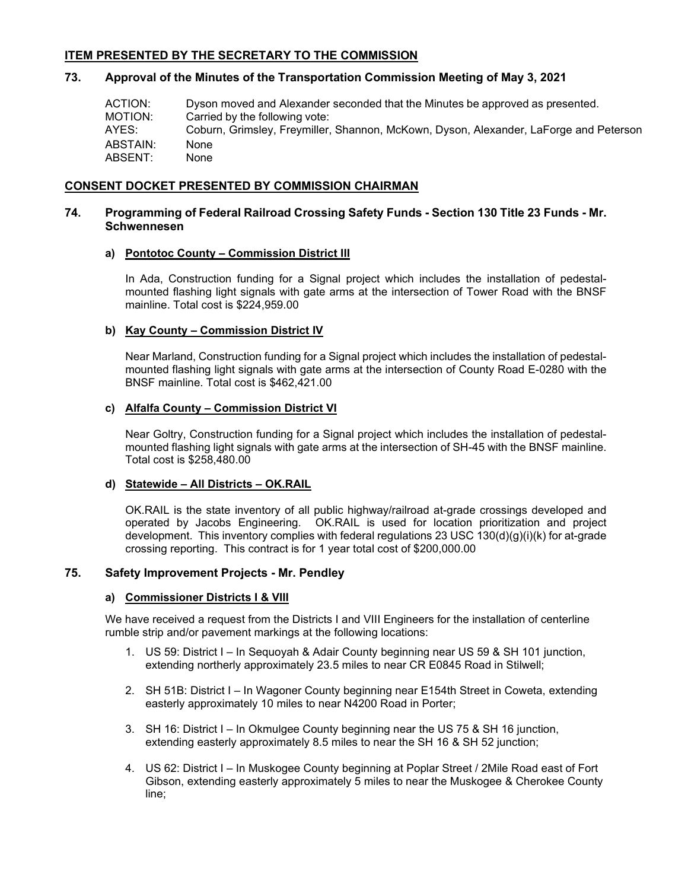# **ITEM PRESENTED BY THE SECRETARY TO THE COMMISSION**

#### **73. Approval of the Minutes of the Transportation Commission Meeting of May 3, 2021**

ACTION: Dyson moved and Alexander seconded that the Minutes be approved as presented.<br>MOTION: Carried by the following vote: Carried by the following vote: AYES: Coburn, Grimsley, Freymiller, Shannon, McKown, Dyson, Alexander, LaForge and Peterson ABSTAIN: None ABSENT: None

#### **CONSENT DOCKET PRESENTED BY COMMISSION CHAIRMAN**

## **74. Programming of Federal Railroad Crossing Safety Funds - Section 130 Title 23 Funds - Mr. Schwennesen**

## **a) Pontotoc County – Commission District III**

In Ada, Construction funding for a Signal project which includes the installation of pedestalmounted flashing light signals with gate arms at the intersection of Tower Road with the BNSF mainline. Total cost is \$224,959.00

#### **b) Kay County – Commission District IV**

Near Marland, Construction funding for a Signal project which includes the installation of pedestalmounted flashing light signals with gate arms at the intersection of County Road E-0280 with the BNSF mainline. Total cost is \$462,421.00

## **c) Alfalfa County – Commission District VI**

Near Goltry, Construction funding for a Signal project which includes the installation of pedestalmounted flashing light signals with gate arms at the intersection of SH-45 with the BNSF mainline. Total cost is \$258,480.00

#### **d) Statewide – All Districts – OK.RAIL**

OK.RAIL is the state inventory of all public highway/railroad at-grade crossings developed and operated by Jacobs Engineering. OK.RAIL is used for location prioritization and project development. This inventory complies with federal regulations 23 USC 130(d)(g)(i)(k) for at-grade crossing reporting. This contract is for 1 year total cost of \$200,000.00

#### **75. Safety Improvement Projects - Mr. Pendley**

#### **a) Commissioner Districts I & VIII**

We have received a request from the Districts I and VIII Engineers for the installation of centerline rumble strip and/or pavement markings at the following locations:

- 1. US 59: District I In Sequoyah & Adair County beginning near US 59 & SH 101 junction, extending northerly approximately 23.5 miles to near CR E0845 Road in Stilwell;
- 2. SH 51B: District I In Wagoner County beginning near E154th Street in Coweta, extending easterly approximately 10 miles to near N4200 Road in Porter;
- 3. SH 16: District I In Okmulgee County beginning near the US 75 & SH 16 junction, extending easterly approximately 8.5 miles to near the SH 16 & SH 52 junction;
- 4. US 62: District I In Muskogee County beginning at Poplar Street / 2Mile Road east of Fort Gibson, extending easterly approximately 5 miles to near the Muskogee & Cherokee County line;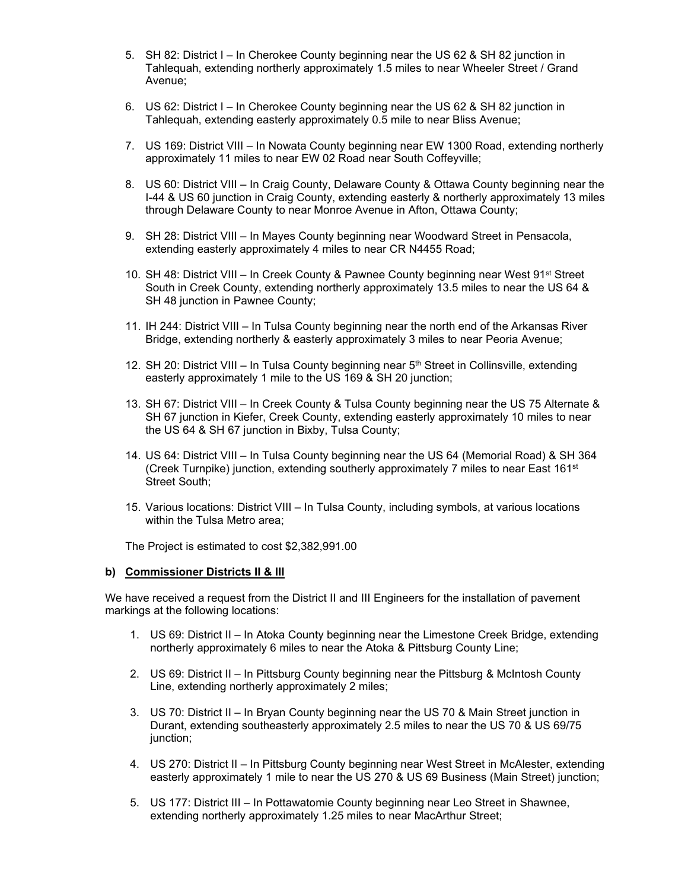- 5. SH 82: District I In Cherokee County beginning near the US 62 & SH 82 junction in Tahlequah, extending northerly approximately 1.5 miles to near Wheeler Street / Grand Avenue;
- 6. US 62: District I In Cherokee County beginning near the US 62 & SH 82 junction in Tahlequah, extending easterly approximately 0.5 mile to near Bliss Avenue;
- 7. US 169: District VIII In Nowata County beginning near EW 1300 Road, extending northerly approximately 11 miles to near EW 02 Road near South Coffeyville;
- 8. US 60: District VIII In Craig County, Delaware County & Ottawa County beginning near the I-44 & US 60 junction in Craig County, extending easterly & northerly approximately 13 miles through Delaware County to near Monroe Avenue in Afton, Ottawa County;
- 9. SH 28: District VIII In Mayes County beginning near Woodward Street in Pensacola, extending easterly approximately 4 miles to near CR N4455 Road;
- 10. SH 48: District VIII In Creek County & Pawnee County beginning near West 91<sup>st</sup> Street South in Creek County, extending northerly approximately 13.5 miles to near the US 64 & SH 48 junction in Pawnee County;
- 11. IH 244: District VIII In Tulsa County beginning near the north end of the Arkansas River Bridge, extending northerly & easterly approximately 3 miles to near Peoria Avenue;
- 12. SH 20: District VIII In Tulsa County beginning near 5<sup>th</sup> Street in Collinsville, extending easterly approximately 1 mile to the US 169 & SH 20 junction;
- 13. SH 67: District VIII In Creek County & Tulsa County beginning near the US 75 Alternate & SH 67 junction in Kiefer, Creek County, extending easterly approximately 10 miles to near the US 64 & SH 67 junction in Bixby, Tulsa County;
- 14. US 64: District VIII In Tulsa County beginning near the US 64 (Memorial Road) & SH 364 (Creek Turnpike) junction, extending southerly approximately 7 miles to near East 161<sup>st</sup> Street South;
- 15. Various locations: District VIII In Tulsa County, including symbols, at various locations within the Tulsa Metro area;

The Project is estimated to cost \$2,382,991.00

#### **b) Commissioner Districts II & III**

We have received a request from the District II and III Engineers for the installation of pavement markings at the following locations:

- 1. US 69: District II In Atoka County beginning near the Limestone Creek Bridge, extending northerly approximately 6 miles to near the Atoka & Pittsburg County Line;
- 2. US 69: District II In Pittsburg County beginning near the Pittsburg & McIntosh County Line, extending northerly approximately 2 miles;
- 3. US 70: District II In Bryan County beginning near the US 70 & Main Street junction in Durant, extending southeasterly approximately 2.5 miles to near the US 70 & US 69/75 junction;
- 4. US 270: District II In Pittsburg County beginning near West Street in McAlester, extending easterly approximately 1 mile to near the US 270 & US 69 Business (Main Street) junction;
- 5. US 177: District III In Pottawatomie County beginning near Leo Street in Shawnee, extending northerly approximately 1.25 miles to near MacArthur Street;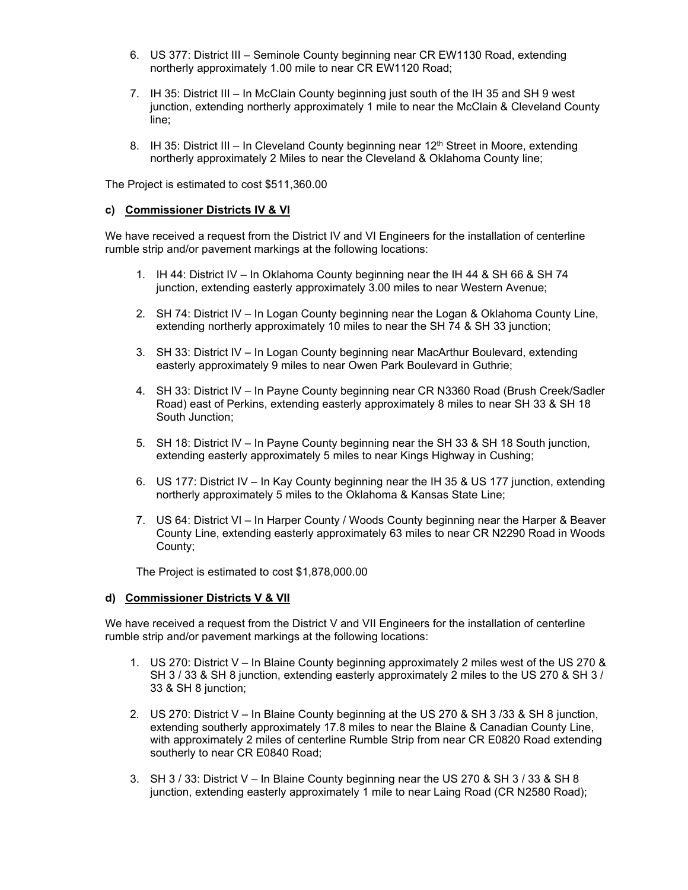- 6. US 377: District III Seminole County beginning near CR EW1130 Road, extending northerly approximately 1.00 mile to near CR EW1120 Road;
- 7. IH 35: District III In McClain County beginning just south of the IH 35 and SH 9 west junction, extending northerly approximately 1 mile to near the McClain & Cleveland County line;
- 8. IH 35: District III In Cleveland County beginning near 12<sup>th</sup> Street in Moore, extending northerly approximately 2 Miles to near the Cleveland & Oklahoma County line;

The Project is estimated to cost \$511,360.00

#### **c) Commissioner Districts IV & VI**

We have received a request from the District IV and VI Engineers for the installation of centerline rumble strip and/or pavement markings at the following locations:

- 1. IH 44: District IV In Oklahoma County beginning near the IH 44 & SH 66 & SH 74 junction, extending easterly approximately 3.00 miles to near Western Avenue;
- 2. SH 74: District IV In Logan County beginning near the Logan & Oklahoma County Line, extending northerly approximately 10 miles to near the SH 74 & SH 33 junction;
- 3. SH 33: District IV In Logan County beginning near MacArthur Boulevard, extending easterly approximately 9 miles to near Owen Park Boulevard in Guthrie;
- 4. SH 33: District IV In Payne County beginning near CR N3360 Road (Brush Creek/Sadler Road) east of Perkins, extending easterly approximately 8 miles to near SH 33 & SH 18 South Junction;
- 5. SH 18: District IV In Payne County beginning near the SH 33 & SH 18 South junction, extending easterly approximately 5 miles to near Kings Highway in Cushing;
- 6. US 177: District IV In Kay County beginning near the IH 35 & US 177 junction, extending northerly approximately 5 miles to the Oklahoma & Kansas State Line;
- 7. US 64: District VI In Harper County / Woods County beginning near the Harper & Beaver County Line, extending easterly approximately 63 miles to near CR N2290 Road in Woods County;

The Project is estimated to cost \$1,878,000.00

#### **d) Commissioner Districts V & VII**

We have received a request from the District V and VII Engineers for the installation of centerline rumble strip and/or pavement markings at the following locations:

- 1. US 270: District V In Blaine County beginning approximately 2 miles west of the US 270 & SH 3 / 33 & SH 8 junction, extending easterly approximately 2 miles to the US 270 & SH 3 / 33 & SH 8 junction;
- 2. US 270: District V In Blaine County beginning at the US 270 & SH 3 /33 & SH 8 junction, extending southerly approximately 17.8 miles to near the Blaine & Canadian County Line, with approximately 2 miles of centerline Rumble Strip from near CR E0820 Road extending southerly to near CR E0840 Road;
- 3. SH 3 / 33: District V In Blaine County beginning near the US 270 & SH 3 / 33 & SH 8 junction, extending easterly approximately 1 mile to near Laing Road (CR N2580 Road);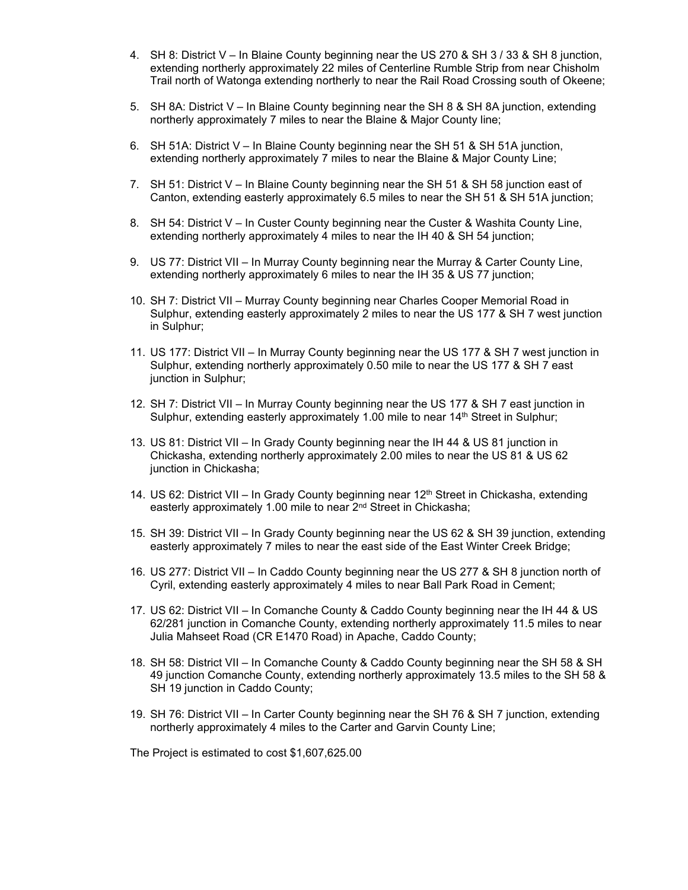- 4. SH 8: District V In Blaine County beginning near the US 270 & SH 3 / 33 & SH 8 junction, extending northerly approximately 22 miles of Centerline Rumble Strip from near Chisholm Trail north of Watonga extending northerly to near the Rail Road Crossing south of Okeene;
- 5. SH 8A: District V In Blaine County beginning near the SH 8 & SH 8A junction, extending northerly approximately 7 miles to near the Blaine & Major County line;
- 6. SH 51A: District V In Blaine County beginning near the SH 51 & SH 51A junction, extending northerly approximately 7 miles to near the Blaine & Major County Line;
- 7. SH 51: District V In Blaine County beginning near the SH 51 & SH 58 junction east of Canton, extending easterly approximately 6.5 miles to near the SH 51 & SH 51A junction;
- 8. SH 54: District V In Custer County beginning near the Custer & Washita County Line, extending northerly approximately 4 miles to near the IH 40 & SH 54 junction;
- 9. US 77: District VII In Murray County beginning near the Murray & Carter County Line, extending northerly approximately 6 miles to near the IH 35 & US 77 junction;
- 10. SH 7: District VII Murray County beginning near Charles Cooper Memorial Road in Sulphur, extending easterly approximately 2 miles to near the US 177 & SH 7 west junction in Sulphur;
- 11. US 177: District VII In Murray County beginning near the US 177 & SH 7 west junction in Sulphur, extending northerly approximately 0.50 mile to near the US 177 & SH 7 east junction in Sulphur;
- 12. SH 7: District VII In Murray County beginning near the US 177 & SH 7 east junction in Sulphur, extending easterly approximately 1.00 mile to near 14<sup>th</sup> Street in Sulphur;
- 13. US 81: District VII In Grady County beginning near the IH 44 & US 81 junction in Chickasha, extending northerly approximately 2.00 miles to near the US 81 & US 62 junction in Chickasha;
- 14. US 62: District VII In Grady County beginning near  $12<sup>th</sup>$  Street in Chickasha, extending easterly approximately 1.00 mile to near 2nd Street in Chickasha;
- 15. SH 39: District VII In Grady County beginning near the US 62 & SH 39 junction, extending easterly approximately 7 miles to near the east side of the East Winter Creek Bridge;
- 16. US 277: District VII In Caddo County beginning near the US 277 & SH 8 junction north of Cyril, extending easterly approximately 4 miles to near Ball Park Road in Cement;
- 17. US 62: District VII In Comanche County & Caddo County beginning near the IH 44 & US 62/281 junction in Comanche County, extending northerly approximately 11.5 miles to near Julia Mahseet Road (CR E1470 Road) in Apache, Caddo County;
- 18. SH 58: District VII In Comanche County & Caddo County beginning near the SH 58 & SH 49 junction Comanche County, extending northerly approximately 13.5 miles to the SH 58 & SH 19 junction in Caddo County;
- 19. SH 76: District VII In Carter County beginning near the SH 76 & SH 7 junction, extending northerly approximately 4 miles to the Carter and Garvin County Line;

The Project is estimated to cost \$1,607,625.00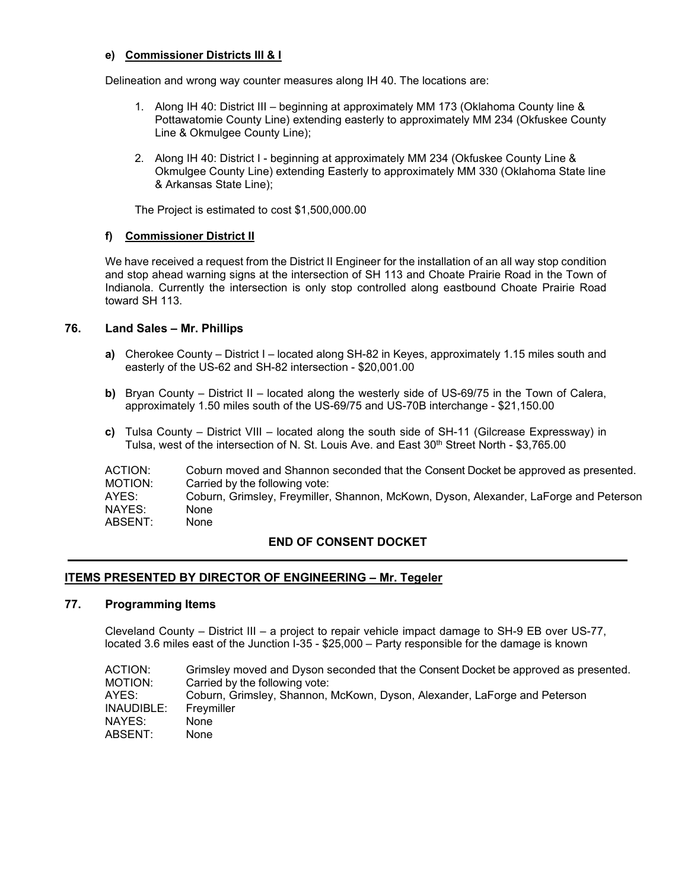# **e) Commissioner Districts III & I**

Delineation and wrong way counter measures along IH 40. The locations are:

- 1. Along IH 40: District III beginning at approximately MM 173 (Oklahoma County line & Pottawatomie County Line) extending easterly to approximately MM 234 (Okfuskee County Line & Okmulgee County Line);
- 2. Along IH 40: District I beginning at approximately MM 234 (Okfuskee County Line & Okmulgee County Line) extending Easterly to approximately MM 330 (Oklahoma State line & Arkansas State Line);

The Project is estimated to cost \$1,500,000.00

## **f) Commissioner District II**

We have received a request from the District II Engineer for the installation of an all way stop condition and stop ahead warning signs at the intersection of SH 113 and Choate Prairie Road in the Town of Indianola. Currently the intersection is only stop controlled along eastbound Choate Prairie Road toward SH 113.

# **76. Land Sales – Mr. Phillips**

- **a)** Cherokee County District I located along SH-82 in Keyes, approximately 1.15 miles south and easterly of the US-62 and SH-82 intersection - \$20,001.00
- **b)** Bryan County District II located along the westerly side of US-69/75 in the Town of Calera, approximately 1.50 miles south of the US-69/75 and US-70B interchange - \$21,150.00
- **c)** Tulsa County District VIII located along the south side of SH-11 (Gilcrease Expressway) in Tulsa, west of the intersection of N. St. Louis Ave. and East 30<sup>th</sup> Street North - \$3,765.00

| ACTION: | Coburn moved and Shannon seconded that the Consent Docket be approved as presented.   |
|---------|---------------------------------------------------------------------------------------|
| MOTION: | Carried by the following vote:                                                        |
| AYES:   | Coburn, Grimsley, Freymiller, Shannon, McKown, Dyson, Alexander, LaForge and Peterson |
| NAYES:  | <b>None</b>                                                                           |
| ABSENT: | <b>None</b>                                                                           |

# **END OF CONSENT DOCKET**

# **ITEMS PRESENTED BY DIRECTOR OF ENGINEERING – Mr. Tegeler**

#### **77. Programming Items**

Cleveland County – District III – a project to repair vehicle impact damage to SH-9 EB over US-77, located 3.6 miles east of the Junction I-35 - \$25,000 – Party responsible for the damage is known

| ACTION: I  | Grimsley moved and Dyson seconded that the Consent Docket be approved as presented. |
|------------|-------------------------------------------------------------------------------------|
| MOTION:    | Carried by the following vote:                                                      |
| AYES:      | Coburn, Grimsley, Shannon, McKown, Dyson, Alexander, LaForge and Peterson           |
| INAUDIBLE: | Frevmiller                                                                          |
| NAYES:     | None                                                                                |
| ABSENT:    | None                                                                                |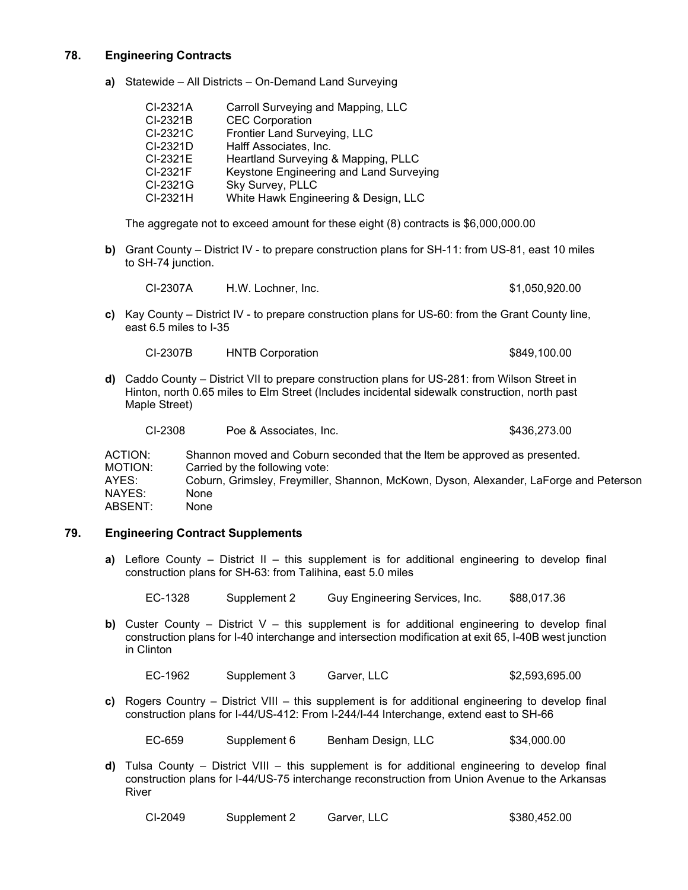# **78. Engineering Contracts**

**a)** Statewide – All Districts – On-Demand Land Surveying

| CI-2321A | Carroll Surveying and Mapping, LLC      |
|----------|-----------------------------------------|
| CI-2321B | <b>CEC Corporation</b>                  |
| CI-2321C | Frontier Land Surveying, LLC            |
| CI-2321D | Halff Associates, Inc.                  |
| CI-2321E | Heartland Surveying & Mapping, PLLC     |
| CI-2321F | Keystone Engineering and Land Surveying |
| CI-2321G | Sky Survey, PLLC                        |
| CI-2321H | White Hawk Engineering & Design, LLC    |

The aggregate not to exceed amount for these eight (8) contracts is \$6,000,000.00

**b)** Grant County – District IV - to prepare construction plans for SH-11: from US-81, east 10 miles to SH-74 junction.

| CI-2307A | H.W. Lochner. Inc. | \$1,050,920.00 |
|----------|--------------------|----------------|
|          |                    |                |

**c)** Kay County – District IV - to prepare construction plans for US-60: from the Grant County line, east 6.5 miles to I-35

| CI-2307B | <b>HNTB Corporation</b> | \$849,100.00 |
|----------|-------------------------|--------------|
|          |                         |              |

**d)** Caddo County – District VII to prepare construction plans for US-281: from Wilson Street in Hinton, north 0.65 miles to Elm Street (Includes incidental sidewalk construction, north past Maple Street)

| CI-2308      | Poe & Associates, Inc.                                                    | \$436,273,00                                                                          |
|--------------|---------------------------------------------------------------------------|---------------------------------------------------------------------------------------|
| ACTION:      | Shannon moved and Coburn seconded that the Item be approved as presented. |                                                                                       |
| MOTION:      | Carried by the following vote:                                            |                                                                                       |
| AYES:        |                                                                           | Coburn, Grimsley, Freymiller, Shannon, McKown, Dyson, Alexander, LaForge and Peterson |
| $\mathbf{N}$ |                                                                           |                                                                                       |

#### NAYES: None ABSENT: None

# **79. Engineering Contract Supplements**

**a)** Leflore County – District II – this supplement is for additional engineering to develop final construction plans for SH-63: from Talihina, east 5.0 miles

EC-1328 Supplement 2 Guy Engineering Services, Inc. \$88,017.36

**b)** Custer County – District V – this supplement is for additional engineering to develop final construction plans for I-40 interchange and intersection modification at exit 65, I-40B west junction in Clinton

EC-1962 Supplement 3 Garver, LLC \$2,593,695.00

**c)** Rogers Country – District VIII – this supplement is for additional engineering to develop final construction plans for I-44/US-412: From I-244/I-44 Interchange, extend east to SH-66

EC-659 Supplement 6 Benham Design, LLC \$34,000.00

**d)** Tulsa County – District VIII – this supplement is for additional engineering to develop final construction plans for I-44/US-75 interchange reconstruction from Union Avenue to the Arkansas River

| CI-2049 | Garver, LLC<br>Supplement 2 |  | \$380,452.00 |
|---------|-----------------------------|--|--------------|
|---------|-----------------------------|--|--------------|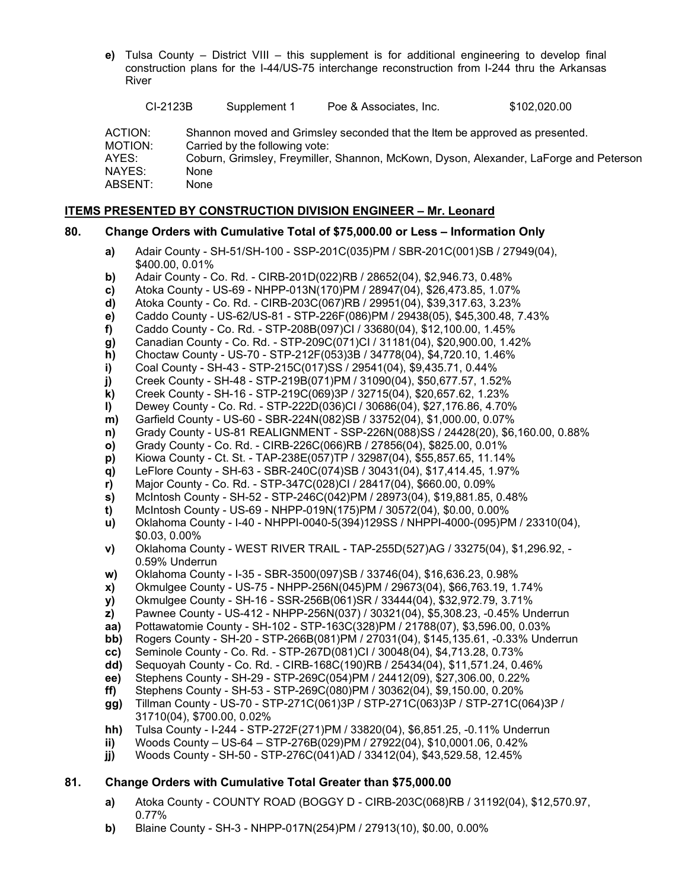**e)** Tulsa County – District VIII – this supplement is for additional engineering to develop final construction plans for the I-44/US-75 interchange reconstruction from I-244 thru the Arkansas River

| CI-2123B                              |      | Supplement 1                   | Poe & Associates, Inc.                                                      | \$102,020.00                                                                          |
|---------------------------------------|------|--------------------------------|-----------------------------------------------------------------------------|---------------------------------------------------------------------------------------|
| ACTION:<br>MOTION:<br>AYES:<br>NAYES: | None | Carried by the following vote: | Shannon moved and Grimsley seconded that the Item be approved as presented. | Coburn, Grimsley, Freymiller, Shannon, McKown, Dyson, Alexander, LaForge and Peterson |
| ABSENT:                               | None |                                |                                                                             |                                                                                       |

# **ITEMS PRESENTED BY CONSTRUCTION DIVISION ENGINEER – Mr. Leonard**

## **80. Change Orders with Cumulative Total of \$75,000.00 or Less – Information Only**

- **a)** Adair County SH-51/SH-100 SSP-201C(035)PM / SBR-201C(001)SB / 27949(04), \$400.00, 0.01%
- **b)** Adair County Co. Rd. CIRB-201D(022)RB / 28652(04), \$2,946.73, 0.48%
- **c)** Atoka County US-69 NHPP-013N(170)PM / 28947(04), \$26,473.85, 1.07%
- **d)** Atoka County Co. Rd. CIRB-203C(067)RB / 29951(04), \$39,317.63, 3.23%
- **e)** Caddo County US-62/US-81 STP-226F(086)PM / 29438(05), \$45,300.48, 7.43%
- **f)** Caddo County Co. Rd. STP-208B(097)CI / 33680(04), \$12,100.00, 1.45%
- **g)** Canadian County Co. Rd. STP-209C(071)CI / 31181(04), \$20,900.00, 1.42%
- **h)** Choctaw County US-70 STP-212F(053)3B / 34778(04), \$4,720.10, 1.46%
- **i)** Coal County SH-43 STP-215C(017)SS / 29541(04), \$9,435.71, 0.44%
- **j)** Creek County SH-48 STP-219B(071)PM / 31090(04), \$50,677.57, 1.52%
- **k)** Creek County SH-16 STP-219C(069)3P / 32715(04), \$20,657.62, 1.23%
- **l)** Dewey County Co. Rd. STP-222D(036)CI / 30686(04), \$27,176.86, 4.70%
- **m)** Garfield County US-60 SBR-224N(082)SB / 33752(04), \$1,000.00, 0.07%
- **n)** Grady County US-81 REALIGNMENT SSP-226N(088)SS / 24428(20), \$6,160.00, 0.88%
- **o)** Grady County Co. Rd. CIRB-226C(066)RB / 27856(04), \$825.00, 0.01%
- **p)** Kiowa County Ct. St. TAP-238E(057)TP / 32987(04), \$55,857.65, 11.14%
- **q)** LeFlore County SH-63 SBR-240C(074)SB / 30431(04), \$17,414.45, 1.97%
- **r)** Major County Co. Rd. STP-347C(028)CI / 28417(04), \$660.00, 0.09%
- **s)** McIntosh County SH-52 STP-246C(042)PM / 28973(04), \$19,881.85, 0.48%
- **t)** McIntosh County US-69 NHPP-019N(175)PM / 30572(04), \$0.00, 0.00%
- **u)** Oklahoma County I-40 NHPPI-0040-5(394)129SS / NHPPI-4000-(095)PM / 23310(04), \$0.03, 0.00%
- **v)** Oklahoma County WEST RIVER TRAIL TAP-255D(527)AG / 33275(04), \$1,296.92, 0.59% Underrun
- **w)** Oklahoma County I-35 SBR-3500(097)SB / 33746(04), \$16,636.23, 0.98%
- **x)** Okmulgee County US-75 NHPP-256N(045)PM / 29673(04), \$66,763.19, 1.74%
- **y)** Okmulgee County SH-16 SSR-256B(061)SR / 33444(04), \$32,972.79, 3.71%
- **z)** Pawnee County US-412 NHPP-256N(037) / 30321(04), \$5,308.23, -0.45% Underrun
- **aa)** Pottawatomie County SH-102 STP-163C(328)PM / 21788(07), \$3,596.00, 0.03%
- **bb)** Rogers County SH-20 STP-266B(081)PM / 27031(04), \$145,135.61, -0.33% Underrun
- **cc)** Seminole County Co. Rd. STP-267D(081)CI / 30048(04), \$4,713.28, 0.73%
- **dd)** Sequoyah County Co. Rd. CIRB-168C(190)RB / 25434(04), \$11,571.24, 0.46%
- **ee)** Stephens County SH-29 STP-269C(054)PM / 24412(09), \$27,306.00, 0.22%
- **ff)** Stephens County SH-53 STP-269C(080)PM / 30362(04), \$9,150.00, 0.20%
- **gg)** Tillman County US-70 STP-271C(061)3P / STP-271C(063)3P / STP-271C(064)3P / 31710(04), \$700.00, 0.02%
- **hh)** Tulsa County I-244 STP-272F(271)PM / 33820(04), \$6,851.25, -0.11% Underrun
- **ii)** Woods County US-64 STP-276B(029)PM / 27922(04), \$10,0001.06, 0.42%
- **jj)** Woods County SH-50 STP-276C(041)AD / 33412(04), \$43,529.58, 12.45%

# **81. Change Orders with Cumulative Total Greater than \$75,000.00**

- **a)** Atoka County COUNTY ROAD (BOGGY D CIRB-203C(068)RB / 31192(04), \$12,570.97, 0.77%
- **b)** Blaine County SH-3 NHPP-017N(254)PM / 27913(10), \$0.00, 0.00%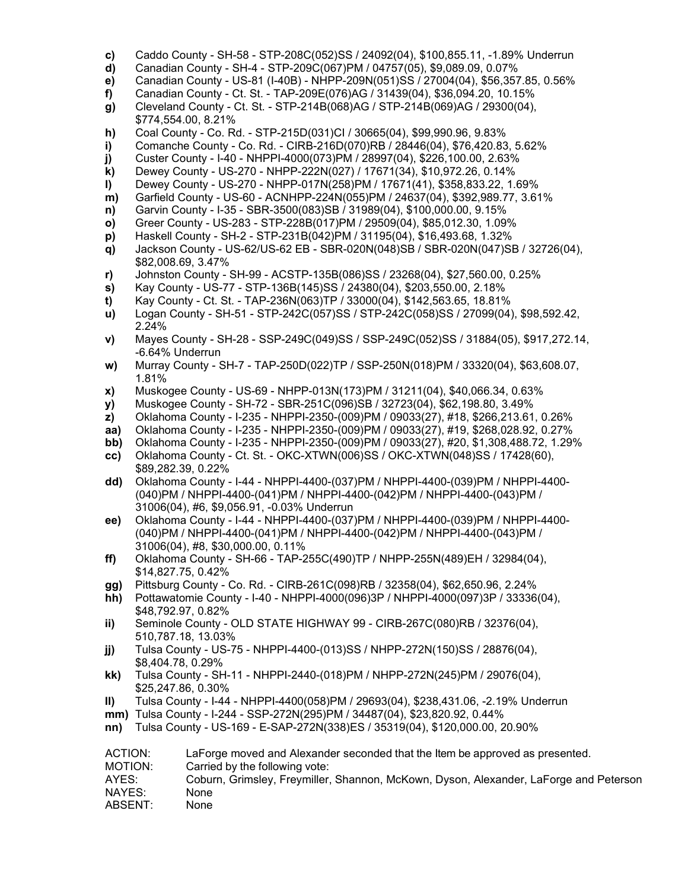- **c)** Caddo County SH-58 STP-208C(052)SS / 24092(04), \$100,855.11, -1.89% Underrun
- **d)** Canadian County SH-4 STP-209C(067)PM / 04757(05), \$9,089.09, 0.07%
- **e)** Canadian County US-81 (I-40B) NHPP-209N(051)SS / 27004(04), \$56,357.85, 0.56%
- **f)** Canadian County Ct. St. TAP-209E(076)AG / 31439(04), \$36,094.20, 10.15%
- **g)** Cleveland County Ct. St. STP-214B(068)AG / STP-214B(069)AG / 29300(04), \$774,554.00, 8.21%
- **h)** Coal County Co. Rd. STP-215D(031)CI / 30665(04), \$99,990.96, 9.83%
- **i)** Comanche County Co. Rd. CIRB-216D(070)RB / 28446(04), \$76,420.83, 5.62%
- **j)** Custer County I-40 NHPPI-4000(073)PM / 28997(04), \$226,100.00, 2.63%
- **k)** Dewey County US-270 NHPP-222N(027) / 17671(34), \$10,972.26, 0.14%
- **l)** Dewey County US-270 NHPP-017N(258)PM / 17671(41), \$358,833.22, 1.69%
- **m)** Garfield County US-60 ACNHPP-224N(055)PM / 24637(04), \$392,989.77, 3.61%
- **n)** Garvin County I-35 SBR-3500(083)SB / 31989(04), \$100,000.00, 9.15%
- **o)** Greer County US-283 STP-228B(017)PM / 29509(04), \$85,012.30, 1.09%
- **p)** Haskell County SH-2 STP-231B(042)PM / 31195(04), \$16,493.68, 1.32%
- **q)** Jackson County US-62/US-62 EB SBR-020N(048)SB / SBR-020N(047)SB / 32726(04), \$82,008.69, 3.47%
- **r)** Johnston County SH-99 ACSTP-135B(086)SS / 23268(04), \$27,560.00, 0.25%
- **s)** Kay County US-77 STP-136B(145)SS / 24380(04), \$203,550.00, 2.18%
- **t)** Kay County Ct. St. TAP-236N(063)TP / 33000(04), \$142,563.65, 18.81%
- **u)** Logan County SH-51 STP-242C(057)SS / STP-242C(058)SS / 27099(04), \$98,592.42, 2.24%
- **v)** Mayes County SH-28 SSP-249C(049)SS / SSP-249C(052)SS / 31884(05), \$917,272.14, -6.64% Underrun
- **w)** Murray County SH-7 TAP-250D(022)TP / SSP-250N(018)PM / 33320(04), \$63,608.07, 1.81%
- **x)** Muskogee County US-69 NHPP-013N(173)PM / 31211(04), \$40,066.34, 0.63%
- **y)** Muskogee County SH-72 SBR-251C(096)SB / 32723(04), \$62,198.80, 3.49%
- **z)** Oklahoma County I-235 NHPPI-2350-(009)PM / 09033(27), #18, \$266,213.61, 0.26%
- **aa)** Oklahoma County I-235 NHPPI-2350-(009)PM / 09033(27), #19, \$268,028.92, 0.27%
- **bb)** Oklahoma County I-235 NHPPI-2350-(009)PM / 09033(27), #20, \$1,308,488.72, 1.29%
- **cc)** Oklahoma County Ct. St. OKC-XTWN(006)SS / OKC-XTWN(048)SS / 17428(60), \$89,282.39, 0.22%
- **dd)** Oklahoma County I-44 NHPPI-4400-(037)PM / NHPPI-4400-(039)PM / NHPPI-4400- (040)PM / NHPPI-4400-(041)PM / NHPPI-4400-(042)PM / NHPPI-4400-(043)PM / 31006(04), #6, \$9,056.91, -0.03% Underrun
- **ee)** Oklahoma County I-44 NHPPI-4400-(037)PM / NHPPI-4400-(039)PM / NHPPI-4400- (040)PM / NHPPI-4400-(041)PM / NHPPI-4400-(042)PM / NHPPI-4400-(043)PM / 31006(04), #8, \$30,000.00, 0.11%
- **ff)** Oklahoma County SH-66 TAP-255C(490)TP / NHPP-255N(489)EH / 32984(04), \$14,827.75, 0.42%
- **gg)** Pittsburg County Co. Rd. CIRB-261C(098)RB / 32358(04), \$62,650.96, 2.24%
- **hh)** Pottawatomie County I-40 NHPPI-4000(096)3P / NHPPI-4000(097)3P / 33336(04), \$48,792.97, 0.82%
- **ii)** Seminole County OLD STATE HIGHWAY 99 CIRB-267C(080)RB / 32376(04), 510,787.18, 13.03%
- **jj)** Tulsa County US-75 NHPPI-4400-(013)SS / NHPP-272N(150)SS / 28876(04), \$8,404.78, 0.29%
- **kk)** Tulsa County SH-11 NHPPI-2440-(018)PM / NHPP-272N(245)PM / 29076(04), \$25,247.86, 0.30%
- **ll)** Tulsa County I-44 NHPPI-4400(058)PM / 29693(04), \$238,431.06, -2.19% Underrun
- **mm)** Tulsa County I-244 SSP-272N(295)PM / 34487(04), \$23,820.92, 0.44%
- **nn)** Tulsa County US-169 E-SAP-272N(338)ES / 35319(04), \$120,000.00, 20.90%
- ACTION: LaForge moved and Alexander seconded that the Item be approved as presented.
- MOTION: Carried by the following vote:
- AYES: Coburn, Grimsley, Freymiller, Shannon, McKown, Dyson, Alexander, LaForge and Peterson NAYES: None
- ABSENT: None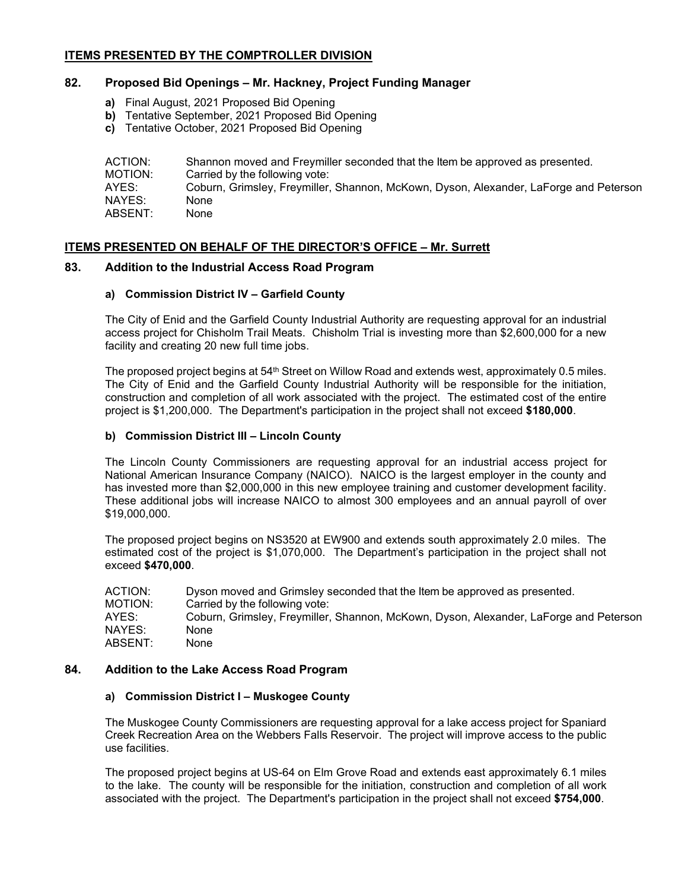# **ITEMS PRESENTED BY THE COMPTROLLER DIVISION**

# **82. Proposed Bid Openings – Mr. Hackney, Project Funding Manager**

- **a)** Final August, 2021 Proposed Bid Opening
- **b)** Tentative September, 2021 Proposed Bid Opening
- **c)** Tentative October, 2021 Proposed Bid Opening

| ACTION: | Shannon moved and Freymiller seconded that the Item be approved as presented.         |
|---------|---------------------------------------------------------------------------------------|
| MOTION: | Carried by the following vote:                                                        |
| AYES:   | Coburn, Grimsley, Freymiller, Shannon, McKown, Dyson, Alexander, LaForge and Peterson |
| NAYES:  | None                                                                                  |
| ABSENT: | None                                                                                  |

# **ITEMS PRESENTED ON BEHALF OF THE DIRECTOR'S OFFICE – Mr. Surrett**

#### **83. Addition to the Industrial Access Road Program**

#### **a) Commission District IV – Garfield County**

The City of Enid and the Garfield County Industrial Authority are requesting approval for an industrial access project for Chisholm Trail Meats. Chisholm Trial is investing more than \$2,600,000 for a new facility and creating 20 new full time jobs.

The proposed project begins at 54<sup>th</sup> Street on Willow Road and extends west, approximately 0.5 miles. The City of Enid and the Garfield County Industrial Authority will be responsible for the initiation, construction and completion of all work associated with the project. The estimated cost of the entire project is \$1,200,000. The Department's participation in the project shall not exceed **\$180,000**.

## **b) Commission District III – Lincoln County**

The Lincoln County Commissioners are requesting approval for an industrial access project for National American Insurance Company (NAICO). NAICO is the largest employer in the county and has invested more than \$2,000,000 in this new employee training and customer development facility. These additional jobs will increase NAICO to almost 300 employees and an annual payroll of over \$19,000,000.

The proposed project begins on NS3520 at EW900 and extends south approximately 2.0 miles. The estimated cost of the project is \$1,070,000. The Department's participation in the project shall not exceed **\$470,000**.

ACTION: Dyson moved and Grimsley seconded that the Item be approved as presented. MOTION: Carried by the following vote: AYES: Coburn, Grimsley, Freymiller, Shannon, McKown, Dyson, Alexander, LaForge and Peterson<br>NAYES: None NAYES: ABSENT: None

#### **84. Addition to the Lake Access Road Program**

#### **a) Commission District I – Muskogee County**

The Muskogee County Commissioners are requesting approval for a lake access project for Spaniard Creek Recreation Area on the Webbers Falls Reservoir. The project will improve access to the public use facilities.

The proposed project begins at US-64 on Elm Grove Road and extends east approximately 6.1 miles to the lake. The county will be responsible for the initiation, construction and completion of all work associated with the project. The Department's participation in the project shall not exceed **\$754,000**.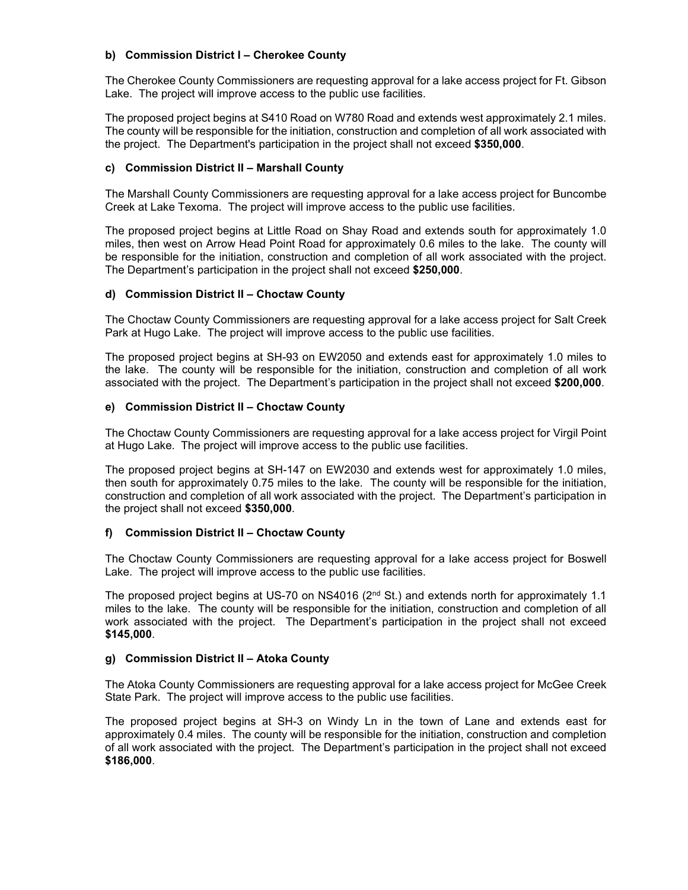## **b) Commission District I – Cherokee County**

The Cherokee County Commissioners are requesting approval for a lake access project for Ft. Gibson Lake. The project will improve access to the public use facilities.

The proposed project begins at S410 Road on W780 Road and extends west approximately 2.1 miles. The county will be responsible for the initiation, construction and completion of all work associated with the project. The Department's participation in the project shall not exceed **\$350,000**.

## **c) Commission District II – Marshall County**

The Marshall County Commissioners are requesting approval for a lake access project for Buncombe Creek at Lake Texoma. The project will improve access to the public use facilities.

The proposed project begins at Little Road on Shay Road and extends south for approximately 1.0 miles, then west on Arrow Head Point Road for approximately 0.6 miles to the lake. The county will be responsible for the initiation, construction and completion of all work associated with the project. The Department's participation in the project shall not exceed **\$250,000**.

## **d) Commission District II – Choctaw County**

The Choctaw County Commissioners are requesting approval for a lake access project for Salt Creek Park at Hugo Lake. The project will improve access to the public use facilities.

The proposed project begins at SH-93 on EW2050 and extends east for approximately 1.0 miles to the lake. The county will be responsible for the initiation, construction and completion of all work associated with the project. The Department's participation in the project shall not exceed **\$200,000**.

## **e) Commission District II – Choctaw County**

The Choctaw County Commissioners are requesting approval for a lake access project for Virgil Point at Hugo Lake. The project will improve access to the public use facilities.

The proposed project begins at SH-147 on EW2030 and extends west for approximately 1.0 miles, then south for approximately 0.75 miles to the lake. The county will be responsible for the initiation, construction and completion of all work associated with the project. The Department's participation in the project shall not exceed **\$350,000**.

#### **f) Commission District II – Choctaw County**

The Choctaw County Commissioners are requesting approval for a lake access project for Boswell Lake. The project will improve access to the public use facilities.

The proposed project begins at US-70 on NS4016 (2<sup>nd</sup> St.) and extends north for approximately 1.1 miles to the lake. The county will be responsible for the initiation, construction and completion of all work associated with the project. The Department's participation in the project shall not exceed **\$145,000**.

# **g) Commission District II – Atoka County**

The Atoka County Commissioners are requesting approval for a lake access project for McGee Creek State Park. The project will improve access to the public use facilities.

The proposed project begins at SH-3 on Windy Ln in the town of Lane and extends east for approximately 0.4 miles. The county will be responsible for the initiation, construction and completion of all work associated with the project. The Department's participation in the project shall not exceed **\$186,000**.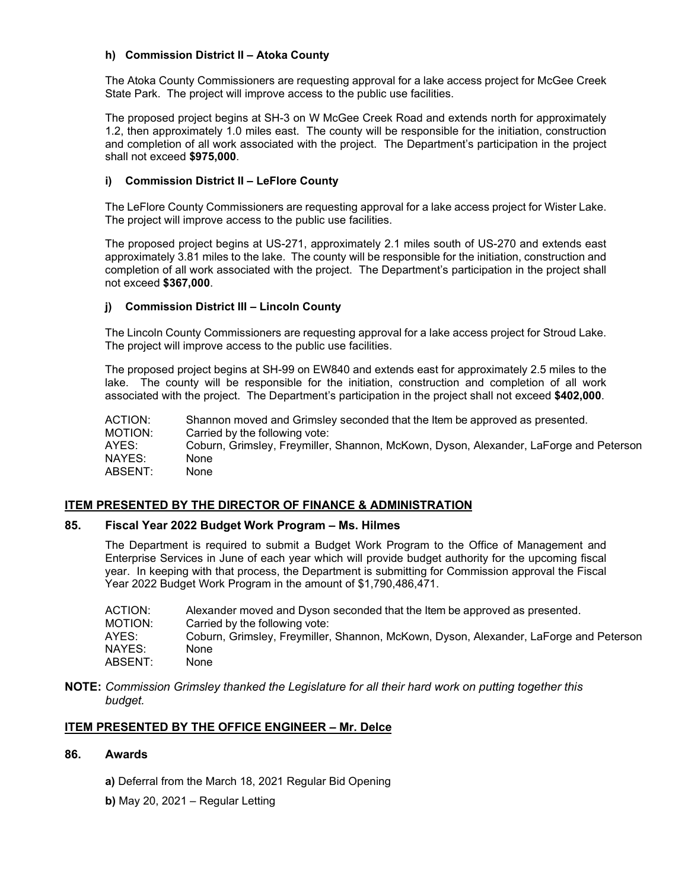## **h) Commission District II – Atoka County**

The Atoka County Commissioners are requesting approval for a lake access project for McGee Creek State Park. The project will improve access to the public use facilities.

The proposed project begins at SH-3 on W McGee Creek Road and extends north for approximately 1.2, then approximately 1.0 miles east. The county will be responsible for the initiation, construction and completion of all work associated with the project. The Department's participation in the project shall not exceed **\$975,000**.

## **i) Commission District II – LeFlore County**

The LeFlore County Commissioners are requesting approval for a lake access project for Wister Lake. The project will improve access to the public use facilities.

The proposed project begins at US-271, approximately 2.1 miles south of US-270 and extends east approximately 3.81 miles to the lake. The county will be responsible for the initiation, construction and completion of all work associated with the project. The Department's participation in the project shall not exceed **\$367,000**.

## **j) Commission District III – Lincoln County**

The Lincoln County Commissioners are requesting approval for a lake access project for Stroud Lake. The project will improve access to the public use facilities.

The proposed project begins at SH-99 on EW840 and extends east for approximately 2.5 miles to the lake. The county will be responsible for the initiation, construction and completion of all work associated with the project. The Department's participation in the project shall not exceed **\$402,000**.

ACTION: Shannon moved and Grimsley seconded that the Item be approved as presented. MOTION: Carried by the following vote:<br>AYES: Coburn. Grimslev. Frevmiller. Coburn, Grimsley, Freymiller, Shannon, McKown, Dyson, Alexander, LaForge and Peterson NAYES: None ABSENT: None

# **ITEM PRESENTED BY THE DIRECTOR OF FINANCE & ADMINISTRATION**

#### **85. Fiscal Year 2022 Budget Work Program – Ms. Hilmes**

The Department is required to submit a Budget Work Program to the Office of Management and Enterprise Services in June of each year which will provide budget authority for the upcoming fiscal year. In keeping with that process, the Department is submitting for Commission approval the Fiscal Year 2022 Budget Work Program in the amount of \$1,790,486,471.

| ACTION: | Alexander moved and Dyson seconded that the Item be approved as presented.            |
|---------|---------------------------------------------------------------------------------------|
| MOTION: | Carried by the following vote:                                                        |
| AYES:   | Coburn, Grimsley, Freymiller, Shannon, McKown, Dyson, Alexander, LaForge and Peterson |
| NAYES:  | None                                                                                  |
| ABSENT: | None                                                                                  |

**NOTE:** *Commission Grimsley thanked the Legislature for all their hard work on putting together this budget.* 

# **ITEM PRESENTED BY THE OFFICE ENGINEER – Mr. Delce**

# **86. Awards**

- **a)** Deferral from the March 18, 2021 Regular Bid Opening
- **b)** May 20, 2021 Regular Letting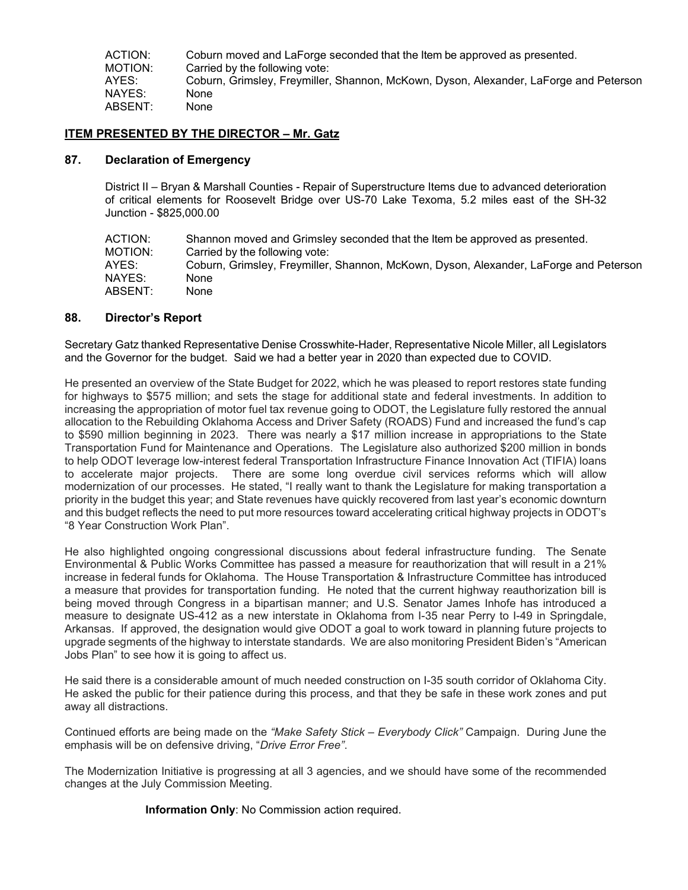ACTION: Coburn moved and LaForge seconded that the Item be approved as presented.<br>MOTION: Carried by the following vote: Carried by the following vote: AYES: Coburn, Grimsley, Freymiller, Shannon, McKown, Dyson, Alexander, LaForge and Peterson NAYES: None ABSENT: None

# **ITEM PRESENTED BY THE DIRECTOR – Mr. Gatz**

#### **87. Declaration of Emergency**

District II – Bryan & Marshall Counties - Repair of Superstructure Items due to advanced deterioration of critical elements for Roosevelt Bridge over US-70 Lake Texoma, 5.2 miles east of the SH-32 Junction - \$825,000.00

| Shannon moved and Grimsley seconded that the Item be approved as presented.           |
|---------------------------------------------------------------------------------------|
| Carried by the following vote:                                                        |
| Coburn, Grimsley, Freymiller, Shannon, McKown, Dyson, Alexander, LaForge and Peterson |
| None                                                                                  |
| None                                                                                  |
|                                                                                       |

## **88. Director's Report**

Secretary Gatz thanked Representative Denise Crosswhite-Hader, Representative Nicole Miller, all Legislators and the Governor for the budget. Said we had a better year in 2020 than expected due to COVID.

He presented an overview of the State Budget for 2022, which he was pleased to report restores state funding for highways to \$575 million; and sets the stage for additional state and federal investments. In addition to increasing the appropriation of motor fuel tax revenue going to ODOT, the Legislature fully restored the annual allocation to the Rebuilding Oklahoma Access and Driver Safety (ROADS) Fund and increased the fund's cap to \$590 million beginning in 2023. There was nearly a \$17 million increase in appropriations to the State Transportation Fund for Maintenance and Operations. The Legislature also authorized \$200 million in bonds to help ODOT leverage low-interest federal Transportation Infrastructure Finance Innovation Act (TIFIA) loans to accelerate major projects. There are some long overdue civil services reforms which will allow modernization of our processes. He stated, "I really want to thank the Legislature for making transportation a priority in the budget this year; and State revenues have quickly recovered from last year's economic downturn and this budget reflects the need to put more resources toward accelerating critical highway projects in ODOT's "8 Year Construction Work Plan".

He also highlighted ongoing congressional discussions about federal infrastructure funding. The Senate Environmental & Public Works Committee has passed a measure for reauthorization that will result in a 21% increase in federal funds for Oklahoma. The House Transportation & Infrastructure Committee has introduced a measure that provides for transportation funding. He noted that the current highway reauthorization bill is being moved through Congress in a bipartisan manner; and U.S. Senator James Inhofe has introduced a measure to designate US-412 as a new interstate in Oklahoma from I-35 near Perry to I-49 in Springdale, Arkansas. If approved, the designation would give ODOT a goal to work toward in planning future projects to upgrade segments of the highway to interstate standards. We are also monitoring President Biden's "American Jobs Plan" to see how it is going to affect us.

He said there is a considerable amount of much needed construction on I-35 south corridor of Oklahoma City. He asked the public for their patience during this process, and that they be safe in these work zones and put away all distractions.

Continued efforts are being made on the *"Make Safety Stick – Everybody Click"* Campaign. During June the emphasis will be on defensive driving, "*Drive Error Free"*.

The Modernization Initiative is progressing at all 3 agencies, and we should have some of the recommended changes at the July Commission Meeting.

**Information Only**: No Commission action required.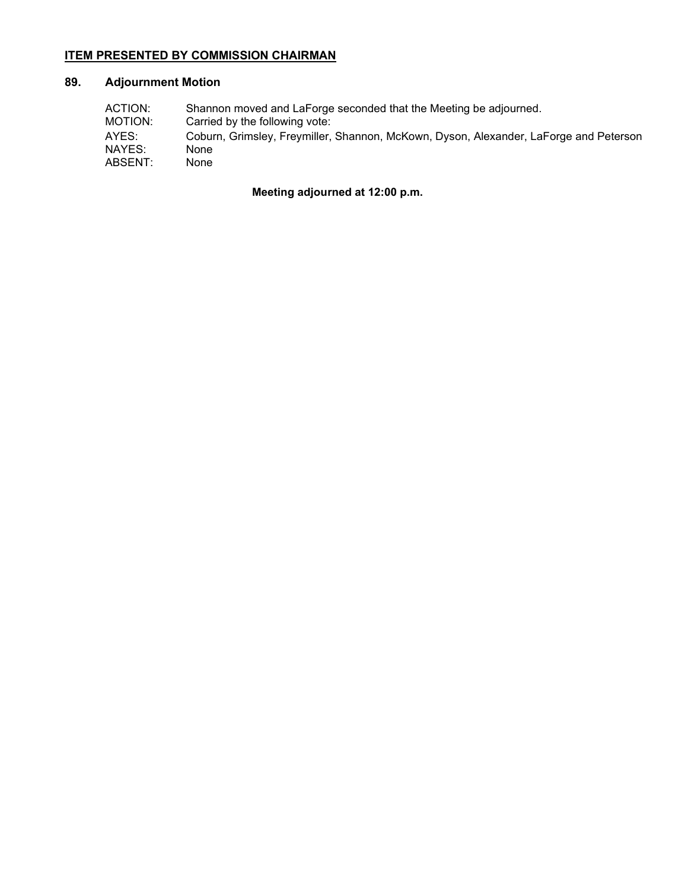# **ITEM PRESENTED BY COMMISSION CHAIRMAN**

# **89. Adjournment Motion**

| ACTION: | Shannon moved and LaForge seconded that the Meeting be adjourned.                     |
|---------|---------------------------------------------------------------------------------------|
| MOTION: | Carried by the following vote:                                                        |
| AYES:   | Coburn, Grimsley, Freymiller, Shannon, McKown, Dyson, Alexander, LaForge and Peterson |
| NAYES:  | None                                                                                  |
| ABSENT: | None                                                                                  |

# **Meeting adjourned at 12:00 p.m.**